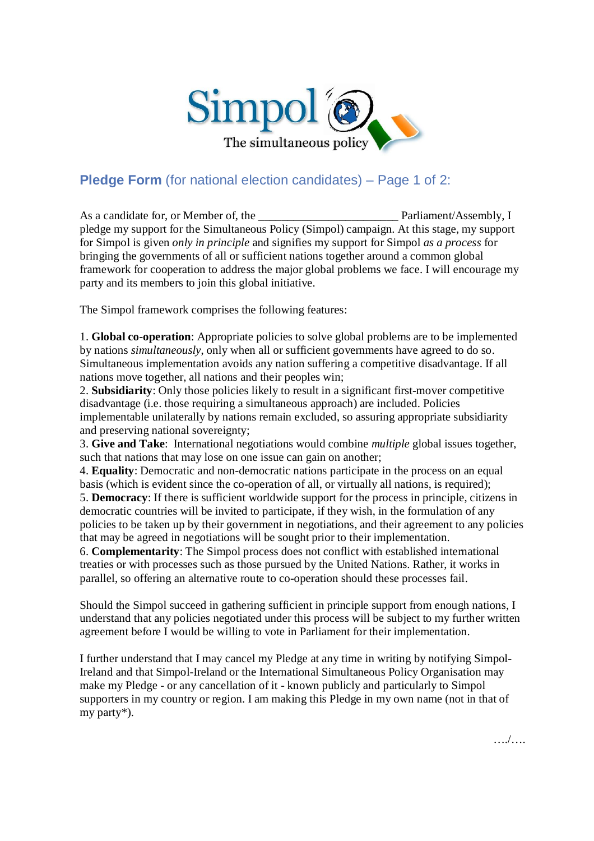

## **Pledge Form** (for national election candidates) – Page 1 of 2:

As a candidate for, or Member of, the **Parliament/Assembly**, I pledge my support for the Simultaneous Policy (Simpol) campaign. At this stage, my support for Simpol is given *only in principle* and signifies my support for Simpol *as a process* for bringing the governments of all or sufficient nations together around a common global framework for cooperation to address the major global problems we face. I will encourage my party and its members to join this global initiative.

The Simpol framework comprises the following features:

1. **Global co-operation**: Appropriate policies to solve global problems are to be implemented by nations *simultaneously*, only when all or sufficient governments have agreed to do so. Simultaneous implementation avoids any nation suffering a competitive disadvantage. If all nations move together, all nations and their peoples win;

2. **Subsidiarity**: Only those policies likely to result in a significant first-mover competitive disadvantage (i.e. those requiring a simultaneous approach) are included. Policies implementable unilaterally by nations remain excluded, so assuring appropriate subsidiarity and preserving national sovereignty;

3. **Give and Take**: International negotiations would combine *multiple* global issues together, such that nations that may lose on one issue can gain on another;

4. **Equality**: Democratic and non-democratic nations participate in the process on an equal basis (which is evident since the co-operation of all, or virtually all nations, is required);

5. **Democracy**: If there is sufficient worldwide support for the process in principle, citizens in democratic countries will be invited to participate, if they wish, in the formulation of any policies to be taken up by their government in negotiations, and their agreement to any policies that may be agreed in negotiations will be sought prior to their implementation.

6. **Complementarity**: The Simpol process does not conflict with established international treaties or with processes such as those pursued by the United Nations. Rather, it works in parallel, so offering an alternative route to co-operation should these processes fail.

Should the Simpol succeed in gathering sufficient in principle support from enough nations, I understand that any policies negotiated under this process will be subject to my further written agreement before I would be willing to vote in Parliament for their implementation.

I further understand that I may cancel my Pledge at any time in writing by notifying Simpol-Ireland and that Simpol-Ireland or the International Simultaneous Policy Organisation may make my Pledge - or any cancellation of it - known publicly and particularly to Simpol supporters in my country or region. I am making this Pledge in my own name (not in that of my party\*).

…./….